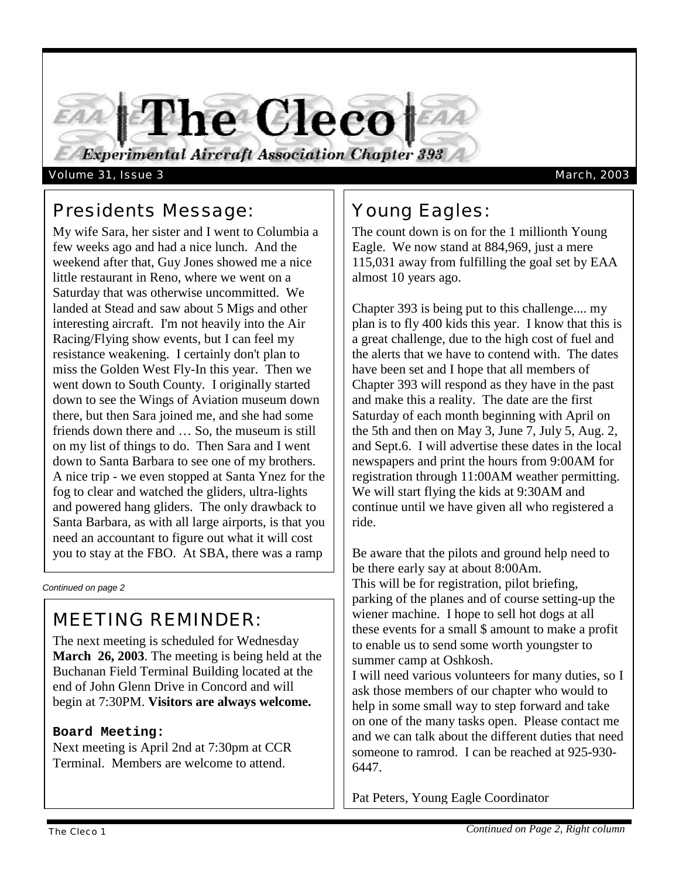The Cleco **Experimental Aircraft Association Chapter 393** 

volume 31, Issue 3 March, 2003 and the United States of the March, 2003 March, 2003

# Presidents Message:

My wife Sara, her sister and I went to Columbia a few weeks ago and had a nice lunch. And the weekend after that, Guy Jones showed me a nice little restaurant in Reno, where we went on a Saturday that was otherwise uncommitted. We landed at Stead and saw about 5 Migs and other interesting aircraft. I'm not heavily into the Air Racing/Flying show events, but I can feel my resistance weakening. I certainly don't plan to miss the Golden West Fly-In this year. Then we went down to South County. I originally started down to see the Wings of Aviation museum down there, but then Sara joined me, and she had some friends down there and … So, the museum is still on my list of things to do. Then Sara and I went down to Santa Barbara to see one of my brothers. A nice trip - we even stopped at Santa Ynez for the fog to clear and watched the gliders, ultra-lights and powered hang gliders. The only drawback to Santa Barbara, as with all large airports, is that you need an accountant to figure out what it will cost you to stay at the FBO. At SBA, there was a ramp

*Continued on page 2*

# MEETING REMINDER:

The next meeting is scheduled for Wednesday **March 26, 2003**. The meeting is being held at the Buchanan Field Terminal Building located at the end of John Glenn Drive in Concord and will begin at 7:30PM. **Visitors are always welcome.**

### **Board Meeting:**

Next meeting is April 2nd at 7:30pm at CCR Terminal. Members are welcome to attend.

# Young Eagles:

The count down is on for the 1 millionth Young Eagle. We now stand at 884,969, just a mere 115,031 away from fulfilling the goal set by EAA almost 10 years ago.

Chapter 393 is being put to this challenge.... my plan is to fly 400 kids this year. I know that this is a great challenge, due to the high cost of fuel and the alerts that we have to contend with. The dates have been set and I hope that all members of Chapter 393 will respond as they have in the past and make this a reality. The date are the first Saturday of each month beginning with April on the 5th and then on May 3, June 7, July 5, Aug. 2, and Sept.6. I will advertise these dates in the local newspapers and print the hours from 9:00AM for registration through 11:00AM weather permitting. We will start flying the kids at 9:30AM and continue until we have given all who registered a ride.

Be aware that the pilots and ground help need to be there early say at about 8:00Am. This will be for registration, pilot briefing, parking of the planes and of course setting-up the wiener machine. I hope to sell hot dogs at all these events for a small \$ amount to make a profit to enable us to send some worth youngster to summer camp at Oshkosh.

I will need various volunteers for many duties, so I ask those members of our chapter who would to help in some small way to step forward and take on one of the many tasks open. Please contact me and we can talk about the different duties that need someone to ramrod. I can be reached at 925-930- 6447.

Pat Peters, Young Eagle Coordinator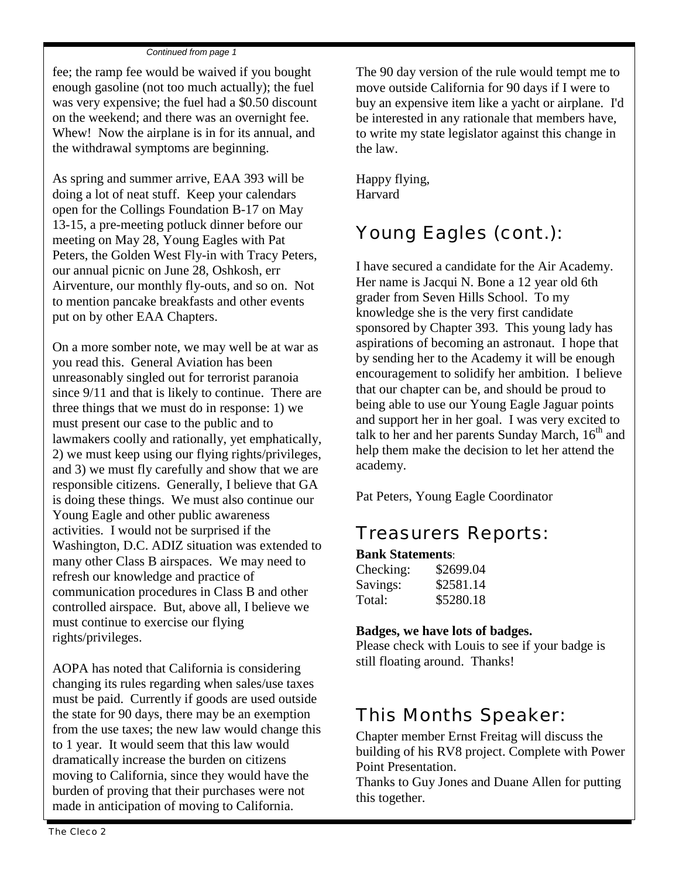#### *Continued from page 1*

fee; the ramp fee would be waived if you bought enough gasoline (not too much actually); the fuel was very expensive; the fuel had a \$0.50 discount on the weekend; and there was an overnight fee. Whew! Now the airplane is in for its annual, and the withdrawal symptoms are beginning.

As spring and summer arrive, EAA 393 will be doing a lot of neat stuff. Keep your calendars open for the Collings Foundation B-17 on May 13-15, a pre-meeting potluck dinner before our meeting on May 28, Young Eagles with Pat Peters, the Golden West Fly-in with Tracy Peters, our annual picnic on June 28, Oshkosh, err Airventure, our monthly fly-outs, and so on. Not to mention pancake breakfasts and other events put on by other EAA Chapters.

On a more somber note, we may well be at war as you read this. General Aviation has been unreasonably singled out for terrorist paranoia since 9/11 and that is likely to continue. There are three things that we must do in response: 1) we must present our case to the public and to lawmakers coolly and rationally, yet emphatically, 2) we must keep using our flying rights/privileges, and 3) we must fly carefully and show that we are responsible citizens. Generally, I believe that GA is doing these things. We must also continue our Young Eagle and other public awareness activities. I would not be surprised if the Washington, D.C. ADIZ situation was extended to many other Class B airspaces. We may need to refresh our knowledge and practice of communication procedures in Class B and other controlled airspace. But, above all, I believe we must continue to exercise our flying rights/privileges.

AOPA has noted that California is considering changing its rules regarding when sales/use taxes must be paid. Currently if goods are used outside the state for 90 days, there may be an exemption from the use taxes; the new law would change this to 1 year. It would seem that this law would dramatically increase the burden on citizens moving to California, since they would have the burden of proving that their purchases were not made in anticipation of moving to California.

The 90 day version of the rule would tempt me to move outside California for 90 days if I were to buy an expensive item like a yacht or airplane. I'd be interested in any rationale that members have, to write my state legislator against this change in the law.

Happy flying, Harvard

# Young Eagles (cont.):

I have secured a candidate for the Air Academy. Her name is Jacqui N. Bone a 12 year old 6th grader from Seven Hills School. To my knowledge she is the very first candidate sponsored by Chapter 393. This young lady has aspirations of becoming an astronaut. I hope that by sending her to the Academy it will be enough encouragement to solidify her ambition. I believe that our chapter can be, and should be proud to being able to use our Young Eagle Jaguar points and support her in her goal. I was very excited to talk to her and her parents Sunday March,  $16<sup>th</sup>$  and help them make the decision to let her attend the academy.

Pat Peters, Young Eagle Coordinator

### Treasurers Reports:

#### **Bank Statements**:

| Checking: | \$2699.04 |
|-----------|-----------|
| Savings:  | \$2581.14 |
| Total:    | \$5280.18 |

#### **Badges, we have lots of badges.**

Please check with Louis to see if your badge is still floating around. Thanks!

### This Months Speaker:

Chapter member Ernst Freitag will discuss the building of his RV8 project. Complete with Power Point Presentation.

Thanks to Guy Jones and Duane Allen for putting this together.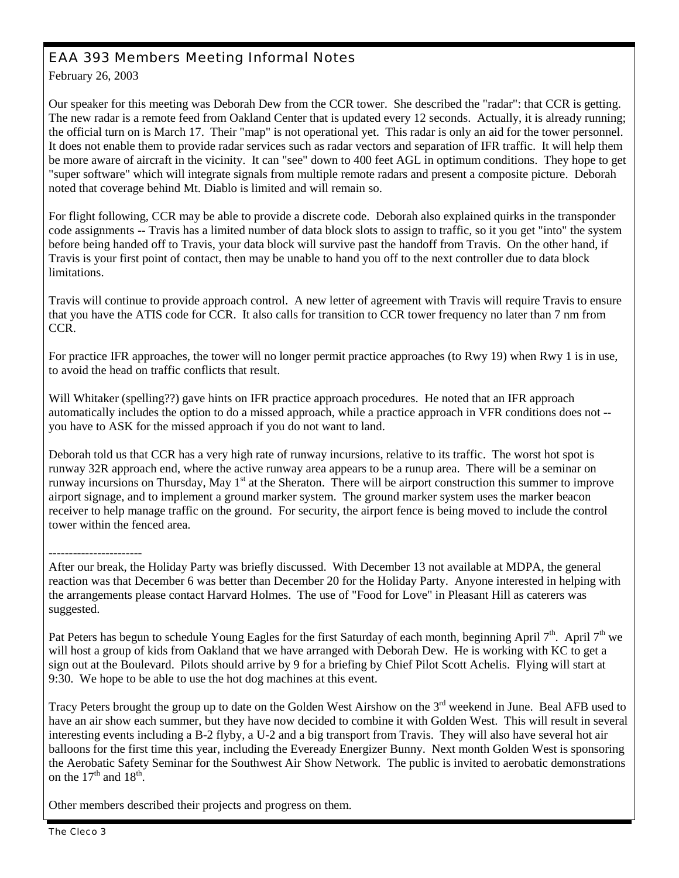#### EAA 393 Members Meeting Informal Notes February 26, 2003

Our speaker for this meeting was Deborah Dew from the CCR tower. She described the "radar": that CCR is getting. The new radar is a remote feed from Oakland Center that is updated every 12 seconds. Actually, it is already running; the official turn on is March 17. Their "map" is not operational yet. This radar is only an aid for the tower personnel. It does not enable them to provide radar services such as radar vectors and separation of IFR traffic. It will help them be more aware of aircraft in the vicinity. It can "see" down to 400 feet AGL in optimum conditions. They hope to get "super software" which will integrate signals from multiple remote radars and present a composite picture. Deborah noted that coverage behind Mt. Diablo is limited and will remain so.

For flight following, CCR may be able to provide a discrete code. Deborah also explained quirks in the transponder code assignments -- Travis has a limited number of data block slots to assign to traffic, so it you get "into" the system before being handed off to Travis, your data block will survive past the handoff from Travis. On the other hand, if Travis is your first point of contact, then may be unable to hand you off to the next controller due to data block limitations.

Travis will continue to provide approach control. A new letter of agreement with Travis will require Travis to ensure that you have the ATIS code for CCR. It also calls for transition to CCR tower frequency no later than 7 nm from CCR.

For practice IFR approaches, the tower will no longer permit practice approaches (to Rwy 19) when Rwy 1 is in use, to avoid the head on traffic conflicts that result.

Will Whitaker (spelling??) gave hints on IFR practice approach procedures. He noted that an IFR approach automatically includes the option to do a missed approach, while a practice approach in VFR conditions does not - you have to ASK for the missed approach if you do not want to land.

Deborah told us that CCR has a very high rate of runway incursions, relative to its traffic. The worst hot spot is runway 32R approach end, where the active runway area appears to be a runup area. There will be a seminar on runway incursions on Thursday, May 1<sup>st</sup> at the Sheraton. There will be airport construction this summer to improve airport signage, and to implement a ground marker system. The ground marker system uses the marker beacon receiver to help manage traffic on the ground. For security, the airport fence is being moved to include the control tower within the fenced area.

----------------------- After our break, the Holiday Party was briefly discussed. With December 13 not available at MDPA, the general reaction was that December 6 was better than December 20 for the Holiday Party. Anyone interested in helping with the arrangements please contact Harvard Holmes. The use of "Food for Love" in Pleasant Hill as caterers was suggested.

Pat Peters has begun to schedule Young Eagles for the first Saturday of each month, beginning April  $7<sup>th</sup>$ . April  $7<sup>th</sup>$  we will host a group of kids from Oakland that we have arranged with Deborah Dew. He is working with KC to get a sign out at the Boulevard. Pilots should arrive by 9 for a briefing by Chief Pilot Scott Achelis. Flying will start at 9:30. We hope to be able to use the hot dog machines at this event.

Tracy Peters brought the group up to date on the Golden West Airshow on the 3<sup>rd</sup> weekend in June. Beal AFB used to have an air show each summer, but they have now decided to combine it with Golden West. This will result in several interesting events including a B-2 flyby, a U-2 and a big transport from Travis. They will also have several hot air balloons for the first time this year, including the Eveready Energizer Bunny. Next month Golden West is sponsoring the Aerobatic Safety Seminar for the Southwest Air Show Network. The public is invited to aerobatic demonstrations on the  $17<sup>th</sup>$  and  $18<sup>th</sup>$ .

Other members described their projects and progress on them.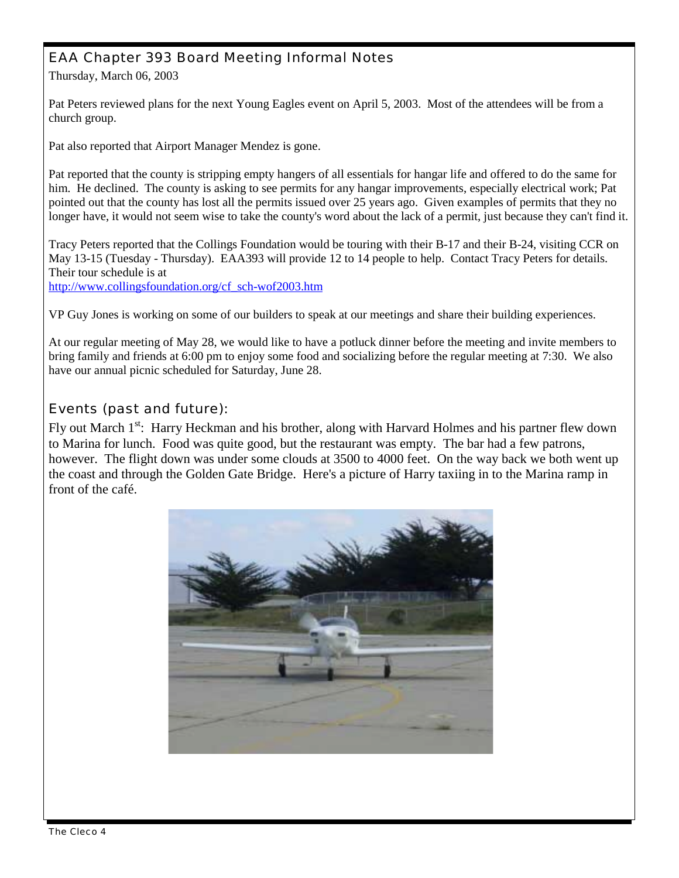#### EAA Chapter 393 Board Meeting Informal Notes Thursday, March 06, 2003

Pat Peters reviewed plans for the next Young Eagles event on April 5, 2003. Most of the attendees will be from a church group.

Pat also reported that Airport Manager Mendez is gone.

Pat reported that the county is stripping empty hangers of all essentials for hangar life and offered to do the same for him. He declined. The county is asking to see permits for any hangar improvements, especially electrical work; Pat pointed out that the county has lost all the permits issued over 25 years ago. Given examples of permits that they no longer have, it would not seem wise to take the county's word about the lack of a permit, just because they can't find it.

Tracy Peters reported that the Collings Foundation would be touring with their B-17 and their B-24, visiting CCR on May 13-15 (Tuesday - Thursday). EAA393 will provide 12 to 14 people to help. Contact Tracy Peters for details. Their tour schedule is at

http://www.collingsfoundation.org/cf\_sch-wof2003.htm

VP Guy Jones is working on some of our builders to speak at our meetings and share their building experiences.

At our regular meeting of May 28, we would like to have a potluck dinner before the meeting and invite members to bring family and friends at 6:00 pm to enjoy some food and socializing before the regular meeting at 7:30. We also have our annual picnic scheduled for Saturday, June 28.

Events (past and future):

Fly out March 1<sup>st</sup>: Harry Heckman and his brother, along with Harvard Holmes and his partner flew down to Marina for lunch. Food was quite good, but the restaurant was empty. The bar had a few patrons, however. The flight down was under some clouds at 3500 to 4000 feet. On the way back we both went up the coast and through the Golden Gate Bridge. Here's a picture of Harry taxiing in to the Marina ramp in front of the café.

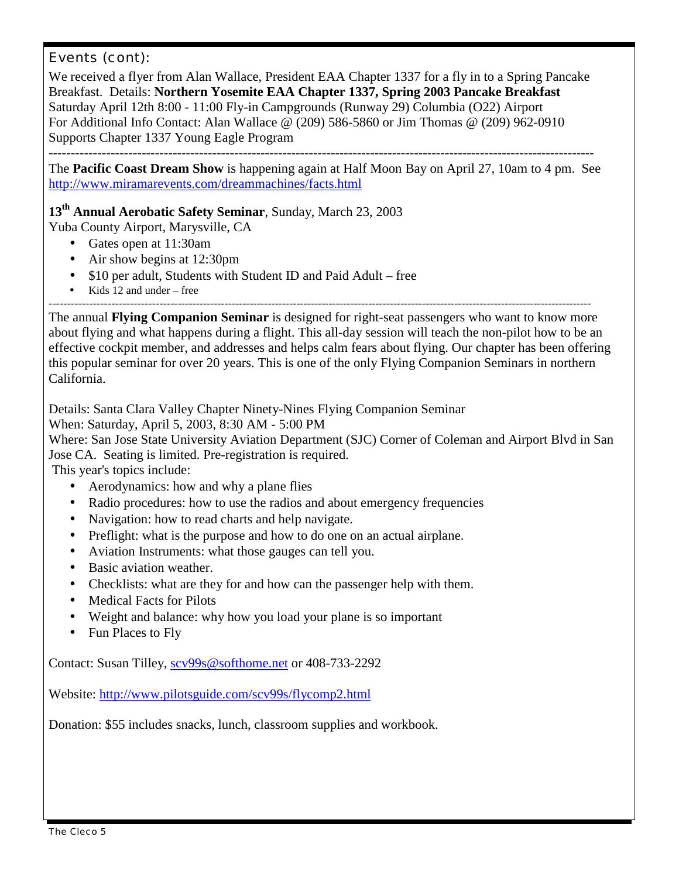### Events (cont):

We received a flyer from Alan Wallace, President EAA Chapter 1337 for a fly in to a Spring Pancake Breakfast. Details: **Northern Yosemite EAA Chapter 1337, Spring 2003 Pancake Breakfast** Saturday April 12th 8:00 - 11:00 Fly-in Campgrounds (Runway 29) Columbia (O22) Airport For Additional Info Contact: Alan Wallace @ (209) 586-5860 or Jim Thomas @ (209) 962-0910 Supports Chapter 1337 Young Eagle Program

----------------------------------------------------------------------------------------------------------------------------

The **Pacific Coast Dream Show** is happening again at Half Moon Bay on April 27, 10am to 4 pm. See http://www.miramarevents.com/dreammachines/facts.html

### **13th Annual Aerobatic Safety Seminar**, Sunday, March 23, 2003

Yuba County Airport, Marysville, CA

- Gates open at 11:30am
- Air show begins at 12:30pm
- \$10 per adult, Students with Student ID and Paid Adult free
- Kids 12 and under  $-$  free

------------------------------------------------------------------------------------------------------------------------------------------------------

The annual **Flying Companion Seminar** is designed for right-seat passengers who want to know more about flying and what happens during a flight. This all-day session will teach the non-pilot how to be an effective cockpit member, and addresses and helps calm fears about flying. Our chapter has been offering this popular seminar for over 20 years. This is one of the only Flying Companion Seminars in northern California.

Details: Santa Clara Valley Chapter Ninety-Nines Flying Companion Seminar

When: Saturday, April 5, 2003, 8:30 AM - 5:00 PM

Where: San Jose State University Aviation Department (SJC) Corner of Coleman and Airport Blvd in San Jose CA. Seating is limited. Pre-registration is required.

This year's topics include:

- Aerodynamics: how and why a plane flies
- Radio procedures: how to use the radios and about emergency frequencies
- Navigation: how to read charts and help navigate.
- Preflight: what is the purpose and how to do one on an actual airplane.
- Aviation Instruments: what those gauges can tell you.
- Basic aviation weather.
- Checklists: what are they for and how can the passenger help with them.
- Medical Facts for Pilots
- Weight and balance: why how you load your plane is so important
- Fun Places to Fly

Contact: Susan Tilley, scv99s@softhome.net or 408-733-2292

Website: http://www.pilotsguide.com/scv99s/flycomp2.html

Donation: \$55 includes snacks, lunch, classroom supplies and workbook.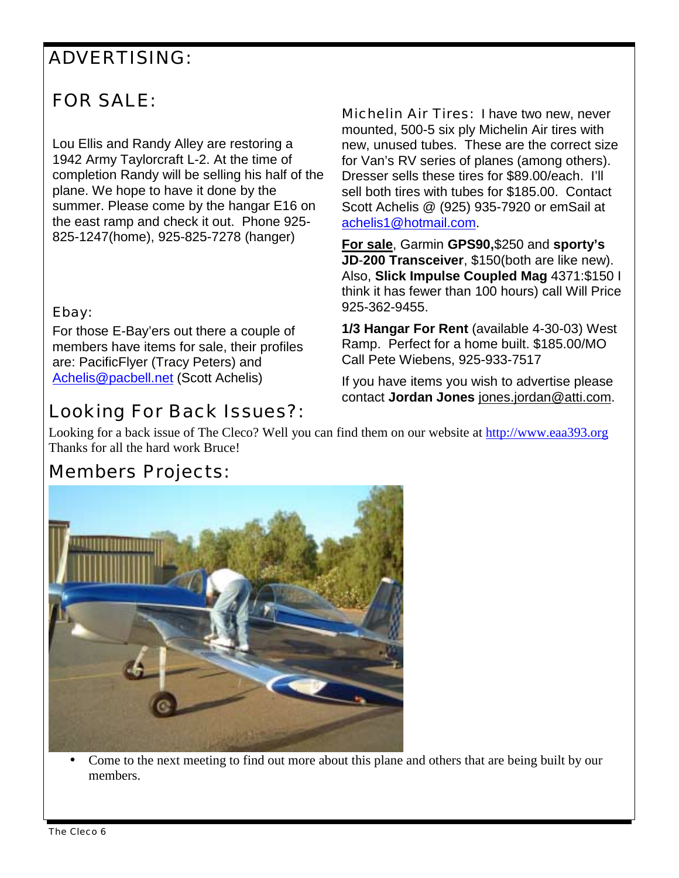### ADVERTISING:

# FOR SALE:

Lou Ellis and Randy Alley are restoring a 1942 Army Taylorcraft L-2. At the time of completion Randy will be selling his half of the plane. We hope to have it done by the summer. Please come by the hangar E16 on the east ramp and check it out. Phone 925- 825-1247(home), 925-825-7278 (hanger)

Ebay:

For those E-Bay'ers out there a couple of members have items for sale, their profiles are: PacificFlyer (Tracy Peters) and Achelis@pacbell.net (Scott Achelis)

# Looking For Back Issues?:

Michelin Air Tires: I have two new, never mounted, 500-5 six ply Michelin Air tires with new, unused tubes. These are the correct size for Van's RV series of planes (among others). Dresser sells these tires for \$89.00/each. I'll sell both tires with tubes for \$185.00. Contact Scott Achelis @ (925) 935-7920 or emSail at achelis1@hotmail.com.

**For sale**, Garmin **GPS90,**\$250 and **sporty's JD**-**200 Transceiver**, \$150(both are like new). Also, **Slick Impulse Coupled Mag** 4371:\$150 I think it has fewer than 100 hours) call Will Price 925-362-9455.

**1/3 Hangar For Rent** (available 4-30-03) West Ramp. Perfect for a home built. \$185.00/MO Call Pete Wiebens, 925-933-7517

If you have items you wish to advertise please contact **Jordan Jones** jones.jordan@atti.com.

Looking for a back issue of The Cleco? Well you can find them on our website at http://www.eaa393.org Thanks for all the hard work Bruce!

# Members Projects:



• Come to the next meeting to find out more about this plane and others that are being built by our members.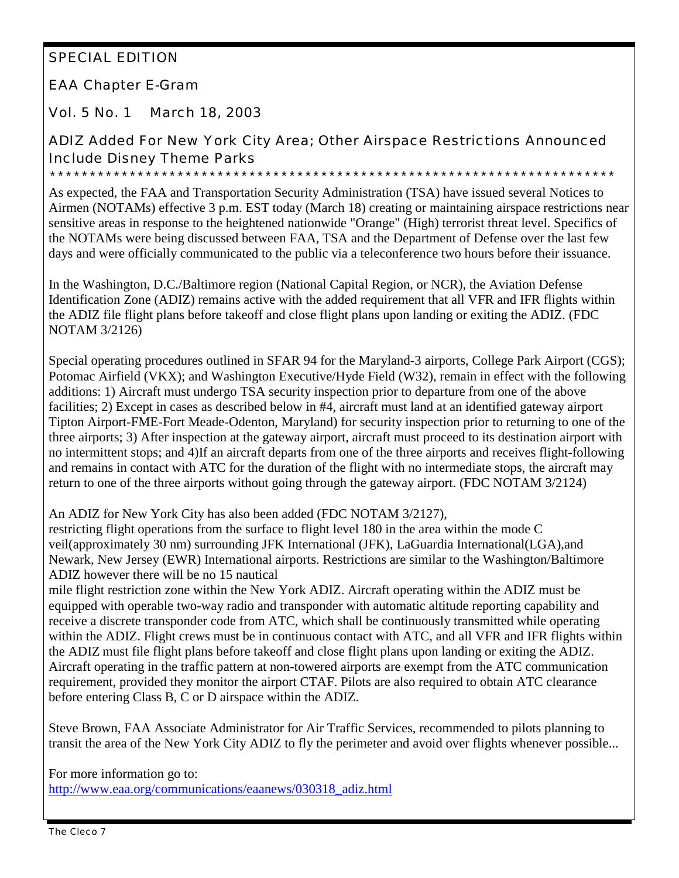### SPECIAL EDITION

EAA Chapter E-Gram

Vol. 5 No. 1 March 18, 2003

ADIZ Added For New York City Area; Other Airspace Restrictions Announced Include Disney Theme Parks

\*\*\*\*\*\*\*\*\*\*\*\*\*\*\*\*\*\*\*\*\*\*\*\*\*\*\*\*\*\*\*\*\*\*\*\*\*\*\*\*\*\*\*\*\*\*\*\*\*\*\*\*\*\*\*\*\*\*\*\*\*\*\*\*\*\*\*\*\*\*\*

As expected, the FAA and Transportation Security Administration (TSA) have issued several Notices to Airmen (NOTAMs) effective 3 p.m. EST today (March 18) creating or maintaining airspace restrictions near sensitive areas in response to the heightened nationwide "Orange" (High) terrorist threat level. Specifics of the NOTAMs were being discussed between FAA, TSA and the Department of Defense over the last few days and were officially communicated to the public via a teleconference two hours before their issuance.

In the Washington, D.C./Baltimore region (National Capital Region, or NCR), the Aviation Defense Identification Zone (ADIZ) remains active with the added requirement that all VFR and IFR flights within the ADIZ file flight plans before takeoff and close flight plans upon landing or exiting the ADIZ. (FDC NOTAM 3/2126)

Special operating procedures outlined in SFAR 94 for the Maryland-3 airports, College Park Airport (CGS); Potomac Airfield (VKX); and Washington Executive/Hyde Field (W32), remain in effect with the following additions: 1) Aircraft must undergo TSA security inspection prior to departure from one of the above facilities; 2) Except in cases as described below in #4, aircraft must land at an identified gateway airport Tipton Airport-FME-Fort Meade-Odenton, Maryland) for security inspection prior to returning to one of the three airports; 3) After inspection at the gateway airport, aircraft must proceed to its destination airport with no intermittent stops; and 4)If an aircraft departs from one of the three airports and receives flight-following and remains in contact with ATC for the duration of the flight with no intermediate stops, the aircraft may return to one of the three airports without going through the gateway airport. (FDC NOTAM 3/2124)

An ADIZ for New York City has also been added (FDC NOTAM 3/2127),

restricting flight operations from the surface to flight level 180 in the area within the mode C veil(approximately 30 nm) surrounding JFK International (JFK), LaGuardia International(LGA),and Newark, New Jersey (EWR) International airports. Restrictions are similar to the Washington/Baltimore ADIZ however there will be no 15 nautical

mile flight restriction zone within the New York ADIZ. Aircraft operating within the ADIZ must be equipped with operable two-way radio and transponder with automatic altitude reporting capability and receive a discrete transponder code from ATC, which shall be continuously transmitted while operating within the ADIZ. Flight crews must be in continuous contact with ATC, and all VFR and IFR flights within the ADIZ must file flight plans before takeoff and close flight plans upon landing or exiting the ADIZ. Aircraft operating in the traffic pattern at non-towered airports are exempt from the ATC communication requirement, provided they monitor the airport CTAF. Pilots are also required to obtain ATC clearance before entering Class B, C or D airspace within the ADIZ.

Steve Brown, FAA Associate Administrator for Air Traffic Services, recommended to pilots planning to transit the area of the New York City ADIZ to fly the perimeter and avoid over flights whenever possible...

For more information go to: http://www.eaa.org/communications/eaanews/030318\_adiz.html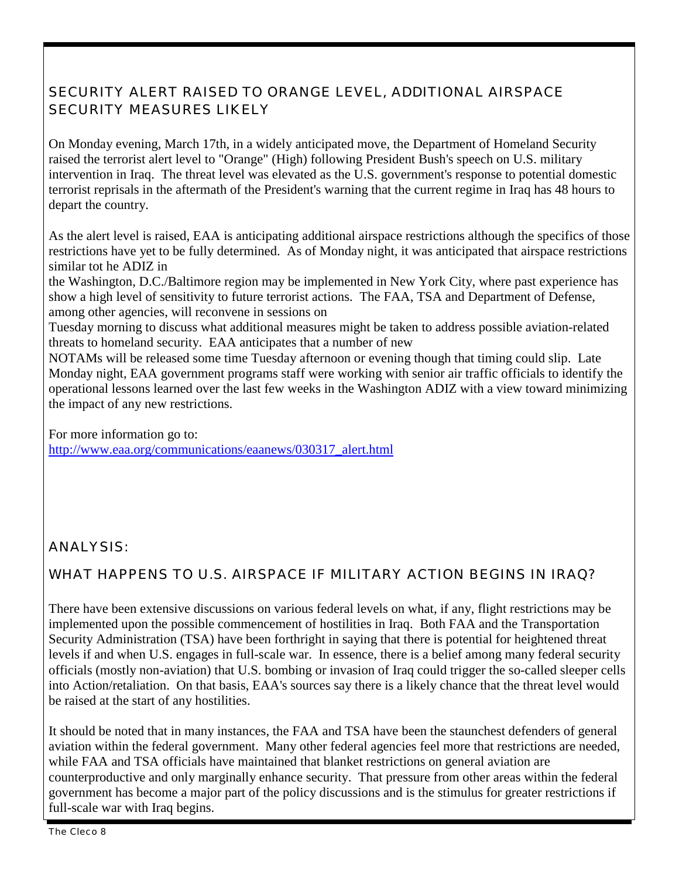### SECURITY ALERT RAISED TO ORANGE LEVEL, ADDITIONAL AIRSPACE SECURITY MEASURES LIKELY

On Monday evening, March 17th, in a widely anticipated move, the Department of Homeland Security raised the terrorist alert level to "Orange" (High) following President Bush's speech on U.S. military intervention in Iraq. The threat level was elevated as the U.S. government's response to potential domestic terrorist reprisals in the aftermath of the President's warning that the current regime in Iraq has 48 hours to depart the country.

As the alert level is raised, EAA is anticipating additional airspace restrictions although the specifics of those restrictions have yet to be fully determined. As of Monday night, it was anticipated that airspace restrictions similar tot he ADIZ in

the Washington, D.C./Baltimore region may be implemented in New York City, where past experience has show a high level of sensitivity to future terrorist actions. The FAA, TSA and Department of Defense, among other agencies, will reconvene in sessions on

Tuesday morning to discuss what additional measures might be taken to address possible aviation-related threats to homeland security. EAA anticipates that a number of new

NOTAMs will be released some time Tuesday afternoon or evening though that timing could slip. Late Monday night, EAA government programs staff were working with senior air traffic officials to identify the operational lessons learned over the last few weeks in the Washington ADIZ with a view toward minimizing the impact of any new restrictions.

For more information go to: http://www.eaa.org/communications/eaanews/030317\_alert.html

### ANALYSIS:

### WHAT HAPPENS TO U.S. AIRSPACE IF MILITARY ACTION BEGINS IN IRAQ?

There have been extensive discussions on various federal levels on what, if any, flight restrictions may be implemented upon the possible commencement of hostilities in Iraq. Both FAA and the Transportation Security Administration (TSA) have been forthright in saying that there is potential for heightened threat levels if and when U.S. engages in full-scale war. In essence, there is a belief among many federal security officials (mostly non-aviation) that U.S. bombing or invasion of Iraq could trigger the so-called sleeper cells into Action/retaliation. On that basis, EAA's sources say there is a likely chance that the threat level would be raised at the start of any hostilities.

It should be noted that in many instances, the FAA and TSA have been the staunchest defenders of general aviation within the federal government. Many other federal agencies feel more that restrictions are needed, while FAA and TSA officials have maintained that blanket restrictions on general aviation are counterproductive and only marginally enhance security. That pressure from other areas within the federal government has become a major part of the policy discussions and is the stimulus for greater restrictions if full-scale war with Iraq begins.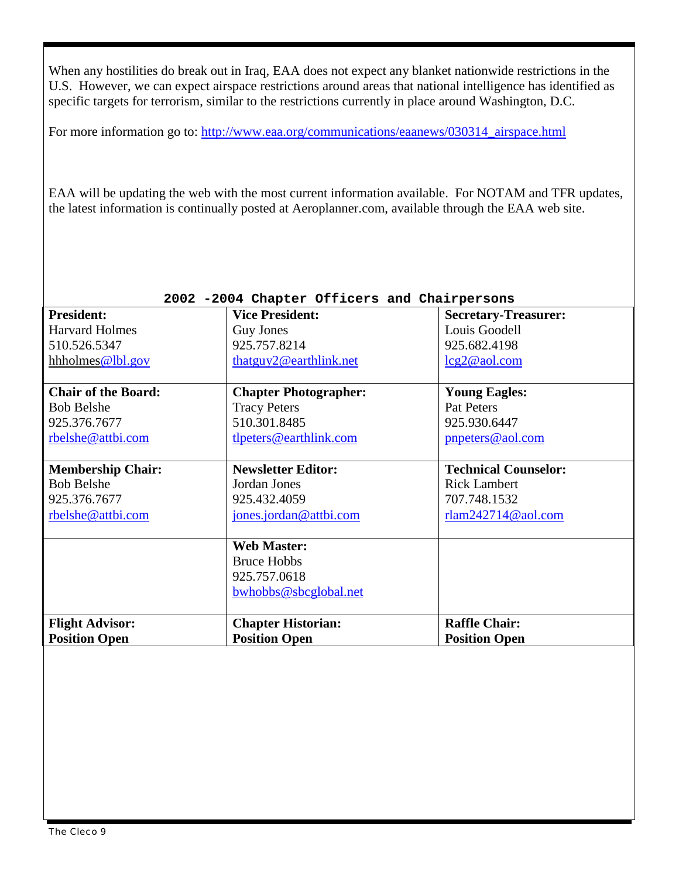When any hostilities do break out in Iraq, EAA does not expect any blanket nationwide restrictions in the U.S. However, we can expect airspace restrictions around areas that national intelligence has identified as specific targets for terrorism, similar to the restrictions currently in place around Washington, D.C.

For more information go to: http://www.eaa.org/communications/eaanews/030314\_airspace.html

EAA will be updating the web with the most current information available. For NOTAM and TFR updates, the latest information is continually posted at Aeroplanner.com, available through the EAA web site.

| 2002 -2004 Chapter Officers and Chairpersons |                              |                             |
|----------------------------------------------|------------------------------|-----------------------------|
| <b>President:</b>                            | <b>Vice President:</b>       | <b>Secretary-Treasurer:</b> |
| <b>Harvard Holmes</b>                        | Guy Jones                    | Louis Goodell               |
| 510.526.5347                                 | 925.757.8214                 | 925.682.4198                |
| hhholmes@lbl.gov                             | thatguy2@earthlink.net       | leg2@aol.com                |
|                                              |                              |                             |
| <b>Chair of the Board:</b>                   | <b>Chapter Photographer:</b> | <b>Young Eagles:</b>        |
| <b>Bob Belshe</b>                            | <b>Tracy Peters</b>          | Pat Peters                  |
| 925.376.7677                                 | 510.301.8485                 | 925.930.6447                |
| rbelshe@attbi.com                            | tlpeters@earthlink.com       | pnpeters@aol.com            |
|                                              |                              |                             |
| <b>Membership Chair:</b>                     | <b>Newsletter Editor:</b>    | <b>Technical Counselor:</b> |
| <b>Bob Belshe</b>                            | Jordan Jones                 | <b>Rick Lambert</b>         |
| 925.376.7677                                 | 925.432.4059                 | 707.748.1532                |
| rbelshe@attbi.com                            | jones.jordan@attbi.com       | rlam242714@aol.com          |
|                                              |                              |                             |
|                                              | <b>Web Master:</b>           |                             |
|                                              | <b>Bruce Hobbs</b>           |                             |
|                                              | 925.757.0618                 |                             |
|                                              | bwhobbs@sbcglobal.net        |                             |
|                                              |                              |                             |
| <b>Flight Advisor:</b>                       | <b>Chapter Historian:</b>    | <b>Raffle Chair:</b>        |
| <b>Position Open</b>                         | <b>Position Open</b>         | <b>Position Open</b>        |